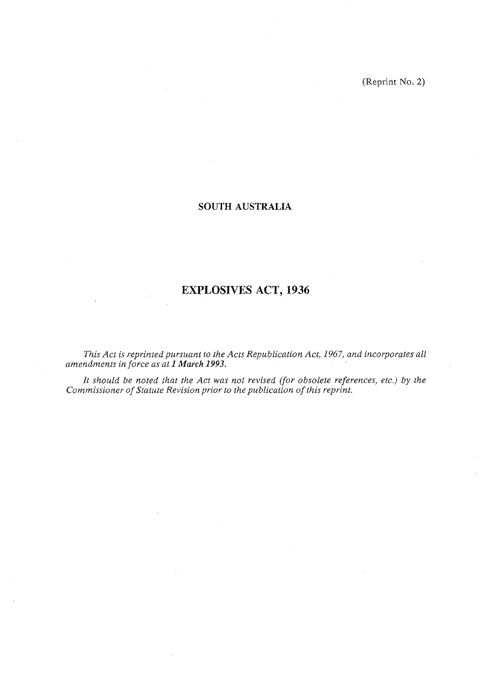(Reprint No. 2)

# **SOUTH AUSTRALIA**

# **EXPLOSIVES ACT, 1936**

*This Act is reprinted pursuant to the Acts Republication Act, 1967, and incorporates all amendments in force as at I March 1993.* 

*It should be noted that the Act was not revised (for obsolete references, etc.) by the Commissioner of Statute Revision prior to the publication of this reprint.*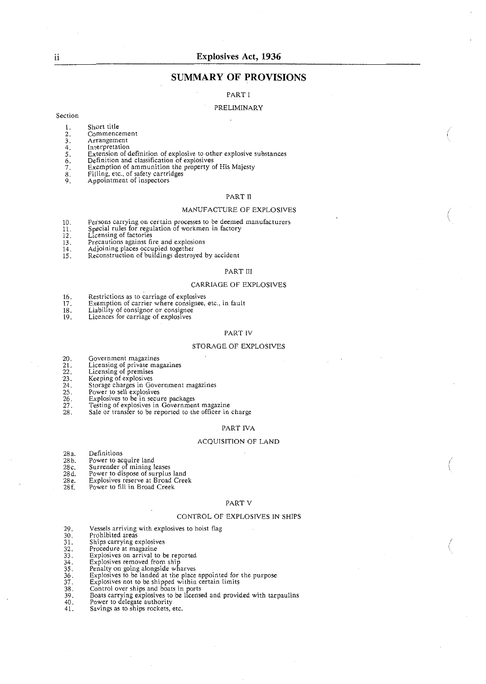# **SUMMARY OF PROVISIONS**

PART I

#### PRELIMINARY

#### Section

- Short title  $\mathbf 1$ .
- Commencement
- Arrangement Interpretation
- Interpretation<br>Extension of definition of explosive to other explosive substances<br>Definition and classification of explosives
- $2.3.4.5.6.7.$
- Exemption of ammunition the property of His Majesty
- Filling, etc., of safety cartridges<br>Appointment of inspectors  $\overline{8}$ .
- 

#### PART I1

#### MANUFACTURE OF EXPLOSIVES

- 10. Persons carrying on certain processes to be deemed manufacturers 11. Special rules for regulation of workmen in factory 12. Licensing of factories
- 
- 
- 13. Precautions against fire and explosions 14. Adjoining places occupied together
- 
- 13. Precautions against fire and explosions<br>14. Adjoining places occupied together<br>15. Reconstruction of buildings destroyed by acciden<sup>.</sup>

#### PART Ill

#### CARRIAGE OF EXPLOSIVES

- Restrictions as to carriage of explosives 16.
- $17.$ Exemption of carrier where consignee, etc., in fault
- 18. Liability of consignor or consignee
- 19. Licences for carriage of explosives

#### PART 1V

#### STORAGE OF EXPLOSIVES

- 20. Government magazines
- $\overline{21}$ . Licensing of private magazines
- 22. Licensing of premises
- 
- 23. Keeping of explosives<br>24. Storage charges in Go 24. Storage charges in Government magazines<br>25. Power to sell explosives<br>26. Explosives to be in secure packages
- 
- Power to sell explosives<br>Explosives to be in secure packages
- Testing of explosives in Government magazine  $27.$
- Sale or transfer to be reported to the officer in charge 28.

#### PART 1VA

#### ACQUISITION OF LAND

- Definitions 28a.
- 28b.
- 28 c.
- Power to acquire land Surrender of mining leases Power to dispose of surplus land 28d.
- $\frac{28e}{28f}$ Explosives reserve at Broad Creek Power to fill in Broad Creek
- 

#### PART V

#### CONTROL OF EXPLOSIVES IN SHIPS

- $\frac{29}{30}$ .<br>31. Vessels arriving with explosives to hoist flag
	- Prohibited areas
- Ships carrying explosives
- Procedure at magazine
- $32.33.34.35.36.37.$ Explosives on arrival to be reported
- 
- Explosives removed from ship Penalty on going alongside wharves
- Explosives to be landed at the place appointed for the purpose<br>Explosives not to be shipped within certain limits
- 
- $38.$ Control over ships and boats in ports
- $39.$ Boats carrying expiosives to be licensed and provided with tarpaulins
- $40.$ Power to delegate authority
- 41. Savings as to ships rockets, etc.

 $\mathbf i$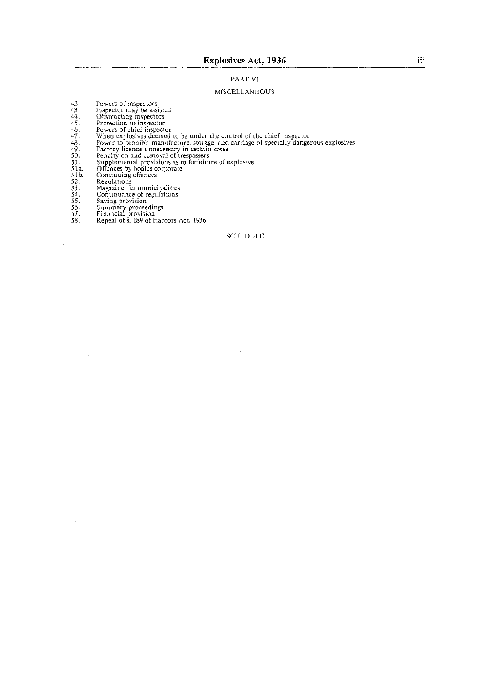### PART **V1**

#### MISCELLANEOUS

- 
- 
- 
- 
- 
- 
- 
- 
- 
- Supplemental provisions as to forfeiture of explosive
- Offences by bodies corporate<br>Continuing offences
- 
- 
- Regulations<br>Magazines in municipalities<br>Continuance of regulations
- 
- Saving provision Summary proceedings Financial provision
- 
- Repeal of s. 189 of Harbors Act, 1936

#### SCHEDULE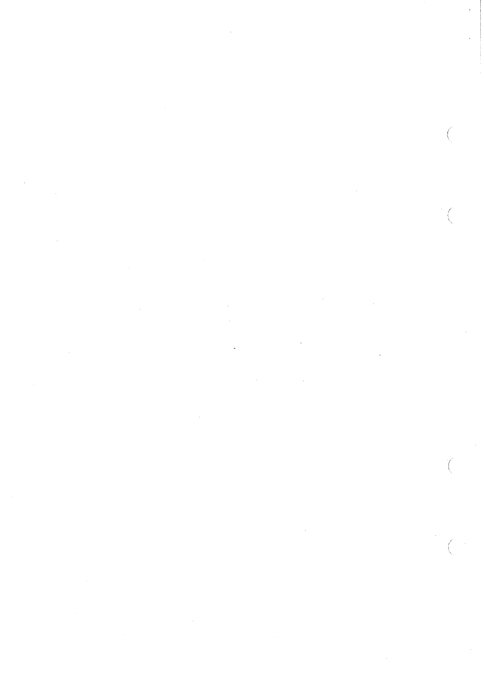$\label{eq:2.1} \frac{1}{\sqrt{2}}\int_{\mathbb{R}^3}\frac{1}{\sqrt{2}}\left(\frac{1}{\sqrt{2}}\right)^2\frac{1}{\sqrt{2}}\left(\frac{1}{\sqrt{2}}\right)^2\frac{1}{\sqrt{2}}\left(\frac{1}{\sqrt{2}}\right)^2\frac{1}{\sqrt{2}}\left(\frac{1}{\sqrt{2}}\right)^2\frac{1}{\sqrt{2}}\left(\frac{1}{\sqrt{2}}\right)^2\frac{1}{\sqrt{2}}\frac{1}{\sqrt{2}}\frac{1}{\sqrt{2}}\frac{1}{\sqrt{2}}\frac{1}{\sqrt{2}}\frac{1}{\sqrt{2}}$ 

 $\label{eq:2.1} \mathcal{L}(\mathcal{L}(\mathcal{L})) = \mathcal{L}(\mathcal{L}(\mathcal{L})) = \mathcal{L}(\mathcal{L}(\mathcal{L})) = \mathcal{L}(\mathcal{L}(\mathcal{L}))$ 

 $\label{eq:2} \frac{1}{\sqrt{2}}\sum_{i=1}^n\frac{1}{\sqrt{2}}\sum_{j=1}^n\frac{1}{\sqrt{2}}\sum_{j=1}^n\frac{1}{\sqrt{2}}\sum_{j=1}^n\frac{1}{\sqrt{2}}\sum_{j=1}^n\frac{1}{\sqrt{2}}\sum_{j=1}^n\frac{1}{\sqrt{2}}\sum_{j=1}^n\frac{1}{\sqrt{2}}\sum_{j=1}^n\frac{1}{\sqrt{2}}\sum_{j=1}^n\frac{1}{\sqrt{2}}\sum_{j=1}^n\frac{1}{\sqrt{2}}\sum_{j=1}^n\frac{1$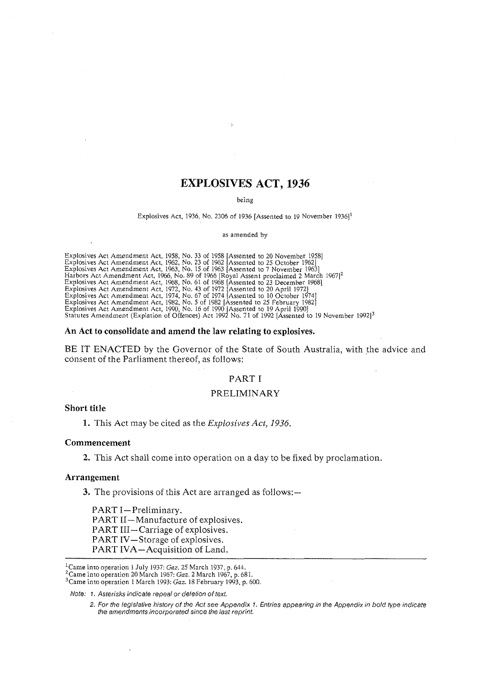# EXPLOSIVES ACT, **1936**

being

Explosives Act, 1936, No. 2306 of 1936 [Assented to 19 November 1936]<sup>1</sup>

as amended by

Explosives Act Amendment Act, 1958, No. 33 of 1958 [Assented to 20 November 1958] Explosives Act Amendment Act, 1962, No. 23 of 1962 [Assented to 25 October 1962]<br>Explosives Act Amendment Act, 1963, No. 15 of 1963 [Assented to 7 November 1963] Harbors Act Amendment Act, 1966, No. 89 of 1966 [Royal Assent proclaimed 2 March 1967]<sup>2</sup><br>Explosives Act Amendment Act, 1968, No. 61 of 1968 [Assented to 23 December 1968]<br>Explosives Act Amendment Act, 1972, No. 43 of 1972 Explosives Act Amendment Act. 1974, No. 67 of 1974 [Assented to 10 October 1974] Explosives Act Amendment Act, 1982, No. 5 of 1982 [Assented to 25 February 1982]<br>Explosives Act Amendment Act, 1990, No. 16 of 1990 [Assented to 19 April 1990] Statutes Amendment (Expiation of Offences) Act 1992 No. 71 of 1992 [Assented to 19 November 19921'

#### **An Act to consolidate and amend the law relating to explosives.**

BE IT ENACTED by the Governor of the State of South Australia, with the advice and consent of the Parliament thereof, as follows:

### PART I

### PRELIMINARY

### **Short title**

**1.** This Act may be cited as the Explosives *Act,* 1936.

#### **Commencement**

**2.** This Act shall come into operation on a day to be fixed by proclamation.

#### **Arrangement**

**3.** The provisions of this Act are arranged as follows:-

PART I-Preliminary. PART II-Manufacture of explosives. PART III-Carriage of explosives. PART IV-Storage of explosives. PART IVA-Acquisition of Land.

 $\frac{1}{2}$ Came into operation 1 July 1937: Gaz, 25 March 1937, p. 644. 2 Came into operation 1 July 1991, Out, 23 March 1997, p. 044.<br>
<sup>2</sup> Came into operation 20 March 1967; Gaz. 2 March 1967, p. 681.<br>
<sup>3</sup> Came into operation 1 March 1993; Gaz. 18 February 1993, p. 600.

Note: **7.** Asterisks indicate repeal or deletion of text.

**<sup>2.</sup>** For the legislative history of the Act see Appendix 1. Entries appearing in the Appendix in bold type indicate the amendments incorporated since the last reprint.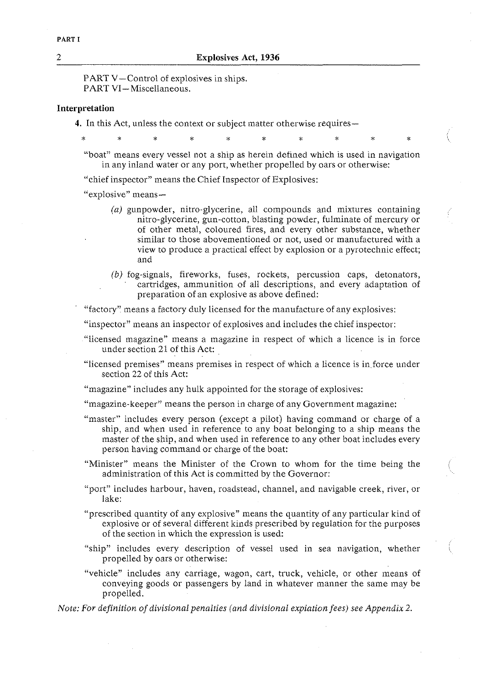PART V-Control of explosives in ships. PART VI-Miscellaneous.

### **Interpretation**

**4.** In this Act, unless the context or subject matter otherwise requires-

\* \* \* **6 6 6** \* \* **6 6** \,

"boat" means every vessel not a ship as herein defined which is used in navigation in any inland water or any port, whether propelled by oars or otherwise:

"chief inspector" means the Chief Inspector of Explosives:

"explosive" means-

- *(a)* gunpowder, nitro-glycerine, all compounds and mixtures containing nitro-glycerine, gun-cotton, blasting powder, fulminate of mercury or of other metal, coloured fires, and every other substance, whether similar to those abovementioned or not, used or manufactured with a view to produce a practical effect by explosion or a pyrotechnic effect; and
- (b) fog-signals, fireworks, fuses, rockets, percussion caps, detonators, cartridges, ammunition of all descriptions, and every adaptation of preparation of an explosive as above defined:

"factory'? means a factory duly licensed for the manufacture of any explosives:

"inspector" means an inspector of explosives and includes the chief inspector:

- "licensed magazine" means a magazine in respect of which a licence is in force under section 21 of this Act:
- "licensed premises" means premises in respect of which a licence is in,force under section 22 of this Act:

"magazine" includes any hulk appointed for the storage of explosives:

"magazine-keeper" means the person in charge of any Government magazine:

- "master" includes every person (except a pilot) having command or charge of a ship, and when used in reference to any boat belonging to a ship means the master of the ship, and when used in reference to any other boat includes every person having command or charge of the boat:
- "Minister" means the Minister of the Crown to whom for the time being the administration of this Act is committed by the Governor:
- "port" includes harbour, haven, roadstead, channel, and navigable creek, river, or lake:
- "prescribed quantity of any explosive" means the quantity of any particular kind of explosive or of several different kinds prescribed by regulation for the purposes of the section in which the expression is used:
- "ship" includes every description of vessel used in sea navigation, whether propelled by oars or otherwise:
- "vehicle" includes any carriage, wagon, cart, truck, vehicle, or other means of conveying goods or passengers by land in whatever manner the same may be propelled.

*Note: For definition of divisional penalties (and divisional expiation fees) see Appendix* 2.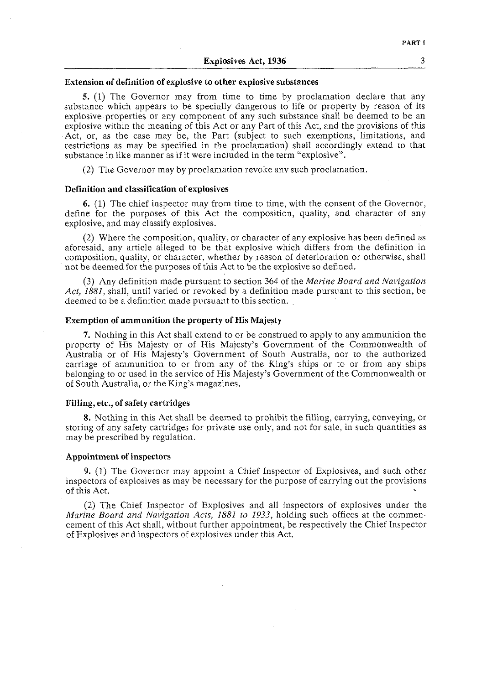#### **Extension of definition of explosive to other explosive substances**

5. (1) The Governor may from time to time by proclamation declare that any substance which appears to be specially dangerous to life or property by reason of its explosive properties or any component of any such substance shall be deemed to be an explosive within the meaning of this Act or any Part of this Act, and the provisions of this Act, or, as the case may be, the Part (subject to such exemptions, limitations, and restrictions as may be specified in the proclamation) shall accordingly extend to that substance in like manner as if it were included in the term "explosive".

(2) The Governor may by proclamation revoke any such proclamation.

### **Definition and classification of explosives**

**6.** (1) The chief inspector may from time to time, with the consent of the Governor, define for the purposes of this Act the composition, quality, and character of any explosive, and may classify explosives.

(2) Where the composition, quality, or character of any explosive has been defined as aforesaid, any article alleged to be that explosive which differs from the definition in composition, quality, or character, whether by reason of deterioration or otherwise, shall not be deemed for the purposes of this Act to be the explosive so defined.

(3) Any definition made pursuant to section 364 of the *Marine Board and Navigation Act,* 1881, shall, until varied or revoked by a definition made pursuant to this section, be deemed to be a definition made pursuant to this section.

### **Exemption of ammunition the property of His Majesty**

**7.** Nothing in this Act shall extend to or be construed to apply to any ammunition the property of His Majesty or of His Majesty's Government of the Commonwealth of Australia or of His Majesty's Government of South Australia, nor to the authorized carriage of ammunition to or from any of the King's ships or to or from any ships belonging to or used in the service of His Majesty's Government of the Commonwealth or of South Australia, or the King's magazines.

#### **Filling, etc., of safety cartridges**

**8.** Nothing in this Act shail be deemed to prohibit the filling, carrying, conveying, or storing of any safety cartridges for private use only, and not for sale, in such quantities as may be prescribed by regulation.

#### **Appointment of inspectors**

**9.** (1) The Governor may appoint a Chief Inspector of Explosives, and such other inspectors of explosives as may be necessary for the purpose of carrying out the provisions of this Act.

(2) The Chief Inspector of Explosives and all inspectors of explosives under the *Marine Board and Navigation Acts,* 1881 *to* 1933, holding such offices at the commencement of this Act shall, without further appointment, be respectively the Chief Inspector of Explosives and inspectors of explosives under this Act.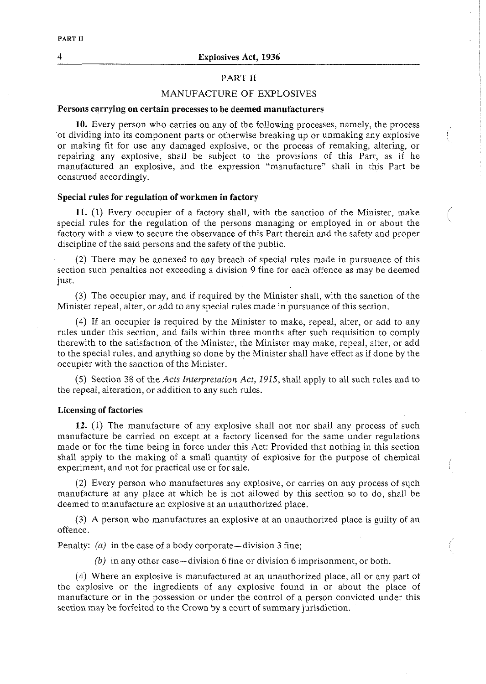# PART I1

## MANUFACTURE OF EXPLOSIVES

### **Persons carrying on certain processes to be deemed manufacturers:**

10. Every person who carries on any of the following processes, namely, the process of dividing into its component parts or otherwise breaking up or unmaking any explosive or making fit for use any damaged explosive, or the process of remaking, altering, or repairing any explosive, shall be subject to the provisions of this Part, as if he manufactured an explosive, and the expression "manufacture" shall in this Part be construed accordingly.

### **Special rules for regulation of workmen in factory**

11. (1) Every occupier of a factory shall, with the sanction of the Minister, make special rules for the regulation of the persons managing or employed in or about the factory with a view to secure the observance of this Part therein and the safety and proper discipline of the said persons and the safety of the public.

(2) There may be annexed to any breach of special rules made in pursuance of this section such penalties not exceeding a division 9 fine for each offence as may be deemed just.

(3) The occupier may, and if required by the Minister shall, with the sanction of the Minister repeal, alter, or add to any special rules made in pursuance of this section.

(4) If an occupier is required by the Minister to make, repeal, alter, or add to any rules under this section, and fails within three months after such requisition to comply therewith to the satisfaction of the Minister, the Minister may make, repeal, alter, or add to the special rules, and anything so done by the Minister shall have effect as if done by the occupier with the sanction of the Minister.

(5) Section 38 of the Acts Interpretation Act, 1915, shall apply to all such rules and to the repeal, alteration, or addition to any such rules.

## **Licensing of factories**

**12.** (1) The manufacture of any explosive shall not nor shall any process of such manufacture be carried on except at a factory licensed for the same under regulations made or for the time being in force under this Act: Provided that nothing in this section shall apply to the making of a small quantity of explosive for the purpose of chemical experiment, and not for practical use or for sale.

Ť.

(2) Every person who manufactures any explosive, or carries on any process of such manufacture at any place at which he is not allowed by this section so to do, shall be deemed to manufacture an explosive at an unauthorized place.

(3) A person who manufactures an explosive at an unauthorized place is guilty of an offence.

Penalty:  $(a)$  in the case of a body corporate—division 3 fine;

(b) in any other case—division 6 fine or division 6 imprisonment, or both.

(4) Where an explosive is manufactured at an unauthorized place, all or any part of the explosive or the ingredients of any explosive found in or about the place of manufacture or in the possession or under the control of a person convicted under this section may be forfeited to the Crown by a court of summary jurisdiction.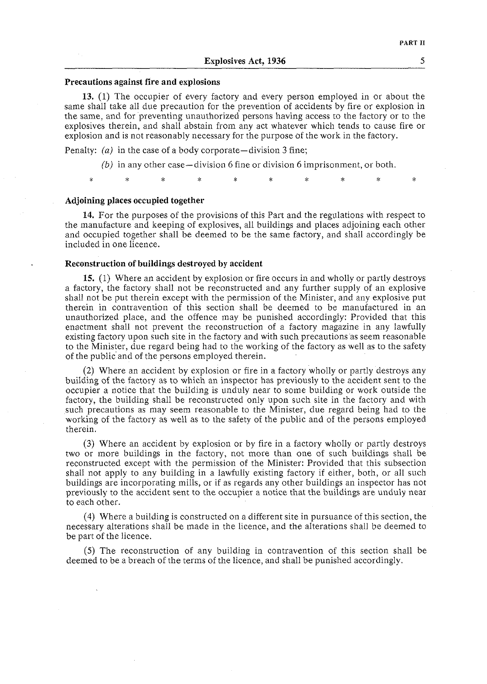### **Precautions against fire and explosions**

**13.** (1) The occupier of every factory and every person employed in or about the same shall take all due precaution for the prevention of accidents by fire or explosion in the same, and for preventing unauthorized persons having access to the factory or to the explosives therein, and shall abstain from any act whatever which tends to cause fire or explosion and is not reasonably necessary for the purpose of the work in the factory.

Penalty:  $(a)$  in the case of a body corporate—division 3 fine;

- (b) in any other case—division 6 fine or division 6 imprisonment, or both.
- $\mathcal{A}$  $\ast$  $\mathbf{x}$ Š.  $\ddot{\mathbf{r}}$ .<br>Na  $\ddot{x}$ ų. į.  $\mathbf{z}$

#### **Adjoining places occupied together**

**14.** For the purposes of the provisions of this Part and the regulations with respect to the manufacture and keeping of explosives, all buildings and places adjoining each other and occupied together shall be deemed to be the same factory, and shall accordingly be included in one licence.

### **Reconstruction of buildings destroyed by accident**

**15.** (1) Where an accident by explosion or fire occurs in and wholly or partly destroys a factory, the factory shall not be reconstructed and any further supply of an explosive shall not be put therein except with the permission of the Minister, and any explosive put therein in contravention of this section shall be deemed to be manufactured in an unauthorized place, and the offence may be punished accordingly: Provided that this enactment shall not prevent the reconstruction of a factory magazine in any lawfully existing factory upon such site in the factory and with such precautions as seem reasonable to the Minister, due regard being had to the working of the factory as well as to the safety of the publicand of the persons employed therein.

(2) Where an accident by explosion or fire in a factory wholly or partly destroys any building of the factory as to which an inspector has previously to the accident sent to the occupier a notice that the building is unduly near to some building or work outside the factory, the building shall be reconstructed only upon such site in the factory and with such precautions as may seem reasonable to the Minister, due regard being had to the working of the factory as well as to the safety of the public and of the persons employed therein.

(3) Where an accident by explosion or by fire in a factory wholly or partly destroys two or more buildings in the factory, not more than one of such buildings shall be reconstructed except with the permission of the Minister: Provided that this subsection shall not apply to any building in a lawfully existing factory if either, both, or all such buildings are incorporating mills, or if as regards any other buildings an inspector has not previously to the accident sent to the occupier a notice that the buildings are unduly near to each other.

(4) Where a building is constructed on a different site in pursuance of this section, the necessary alterations shall be made in the licence, and the alterations shall be deemed to be part of the licence.

(5) The reconstruction of any building in contravention of this section shall be deemed to be a breach of the terms of the licence, and shall be punished accordingly.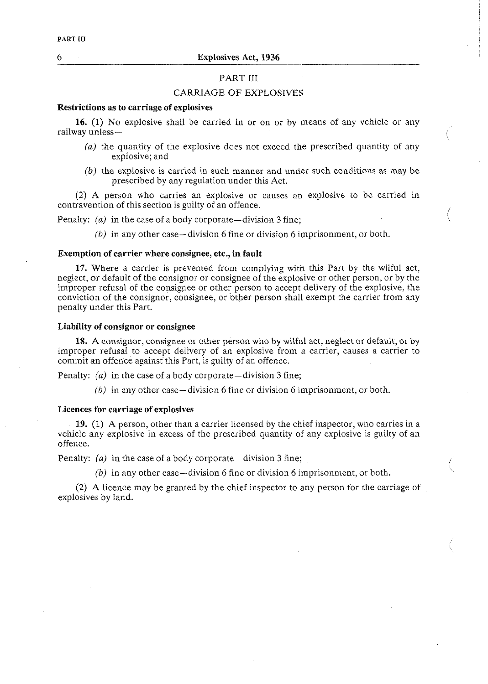# PART III

# CARRIAGE OF EXPLOSIVES

### **Restrictions as to carriage of explosives**

**16.** (1) No explosive shall be carried in or on or by means of any vehlcle or any railway unless-

- *(a)* the quantity of the explosive does not exceed the prescribed quantity of any explosive; and
- *(bj* the explosive is carried in such manner and under such conditions as may be prescribed by any regulation under this Act.

(2) A person who carries an explosive or causes an explosive to be carried in contravention of this section is guilty of an offence.

Penalty: *(a)* in the case of a body corporate—division 3 fine;

*(b)* in any other case-division 6 fine or division 6 imprisonment, or both.

## **Exemption of carrier where consignee, etc., in fault**

**17.** Where a carrier is prevented from complying with this Part by the wilful act, neglect, or default of the consignor or consignee of the explosive or other person, or by the improper refusal of the consignee or other person to accept delivery of the explosive, the conviction of the consignor, consignee, or other person shall exempt the carrier from any penalty under this Part.

### **Liability of consignor or consignee**

**18.** A consignor, consignee or other person who by wilful act, neglect or default, or by improper refusal to accept delivery of an explosive from a carrier, causes a carrier to commit an offence against this Part, is guilty of an offence.

Penalty: (a) in the case of a body corporate-division **3** fine;

*(b)* in any other case-division 6 fine or division 6 imprisonment, or both.

### **Licences for carriage of explosives**

**19.** (1) A person, other than a carrier licensed by the chief inspector, who carries in a vehicle any explosive in excess of the prescribed quantity of any explosive is guilty of an offence.

Penalty: *(a)* in the case of a body corporate—division 3 fine;

*(b)* in any other case-division *6* fine or division 6 imprisonment, or both.

(2) A licence may be granted by the chief inspector to any person for the carriage of explosives by land.

**PART I11**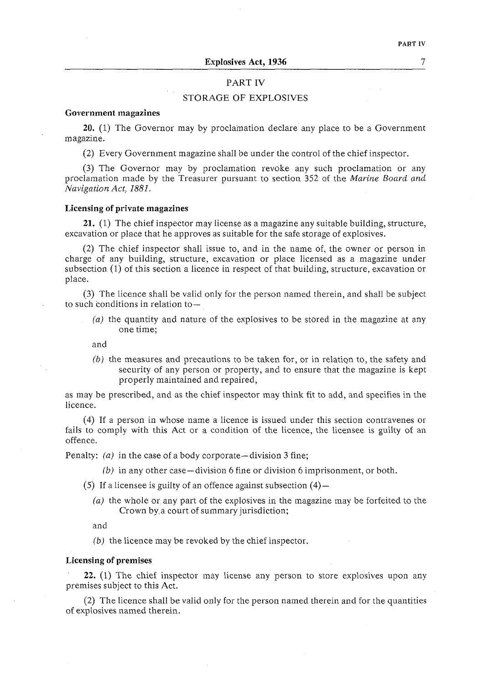### PART IV

### STORAGE OF EXPLOSIVES

### **Government magazines**

**20. (1)** The Governor may by proclamation declare any place to be a Government magazine.

(2) Every Government magazine shall be under the control of the chief inspector.

(3) The Governor may by proclamation revoke any such proclamation or any proclamation made by the Treasurer pursuant to section 352 of the *Marine Board and Navigation Act, I881.* 

### **Licensing of private magazines**

**21.** (1) The chief inspector may license as a magazine any suitable building, structure, excavation or place that he approves as suitable for the safe storage of explosives.

(2) The chief inspector shall issue to, and in the name of, the owner or person in charge of any building, structure, excavation or place licensed as a magazine under subsection (1) of this section a licence in respect of that building, structure, excavation or place.

(3) The licence shall be valid only for the person named therein, and shall be subject to such conditions in relation to-

*(a)* the quantity and nature of the explosives to be stored in the magazine at any one time;

and

*(b)* the measures and precautions to be taken for, or in relation to, the safety and security of any person or property, and to ensure that the magazine is kept properly maintained and repaired,

as may be prescribed, and as the chief inspector may think fit to add, and specifies in the licence.

(4) If a person in whose name a licence is issued under this section contravenes or fails to comply with this Act or a condition of the licence, the licensee is guilty of an offence.

Penalty: *(a)* in the case of a body corporate-division 3 fine;

*(b)* in any other case-division 6 fine or division 6 imprisonment, or both.

(5) If a licensee is guilty of an offence against subsection  $(4)$ -

*(a)* the whole or any part of the explosives in the magazine may be forfeited to the Crown by a court of summary jurisdiction;

and

(b) the licence may be revoked by the chief inspector.

#### **Licensing of premises**

**22.** (1) The chief inspector may license any person to store explosives upon any premises subject to this Act.

(2) The licence shall be valid only for the person named therein and for the quantities of explosives named therein.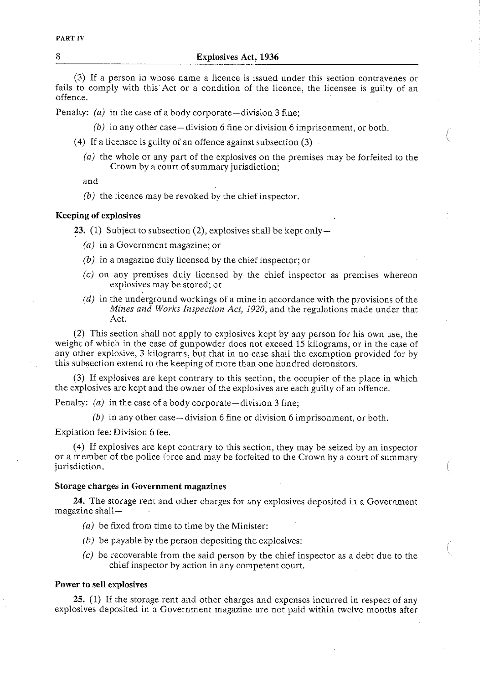**(3)** If a person in whose name a licence is issued under this section contravenes or fails to comply with this Act or a condition of the licence, the licensee is guilty of an offence.

Penalty: *(a)* in the case of a body corporate—division 3 fine:

*(6)* in any other case-division 6 fine or division 6 imprisonment, or both.

- (4) If a licensee is guilty of an offence against subsection  $(3)$ -
	- (a) the whole or any part of the explosives on the premises may be forfeited to the Crown by a court of summary jurisdiction;

and

*(6)* the licence may be revoked by the chief inspector.

#### **Keeping of explosives**

23. (1) Subject to subsection (2), explosives shall be kept only-

- *(a)* in a Government magazine; ot
- *(b)* in a magazine duly licensed by the chief inspector; or
- *(cj* on any premises duly licensed by the chief inspector as premises whereon explosives may be stored; or
- $(d)$  in the underground workings of a mine in accordance with the provisions of the *Mines and Works Inspection Act, 1920,* and the regulations made under that Act.

(2) This section shall not apply to explosives kept by any person for his own use, the weight of which in the case of gunpowder does not exceed 15 kilograms, or in the case of any other explosive, 3 kilograms, but that in no case shall the exemption provided for by this subsection extend to the keeping of more than one hundred detonators.

(3) If explosives are kept contrary to this section, the occupier of the place in which the explosives are kept and the owner of the explosives are each guilty of an offence.

Penalty: (a) in the case of a body corporate—division 3 fine;

*(b)* in any other case-division 6 fine or division 6 imprisonment, or both.

Expiation fee: Division 6 fee.

(4) If explosives are kept contrary to this section, they may be seized by an inspector or a member of the police force and may be forfeited to the Crown by a court of summary jurisdiction.

### **Storage charges in Government magazines**

**24.** The storage rent and other charges for any explosives deposited in a Government magazine shall-

*(a)* be fixed from time to time by the Minister:

- (b) be payable by the person depositing the explosives:
- *(c)* be recoverable from the said person by the chief inspector as a debt due to the chief inspector by action in any competent court.

### **Power to sell explosives**

25. (1) If the storage rent and other charges and expenses incurred in respect of any explosives deposited in a Government magazine are not paid within twelve months after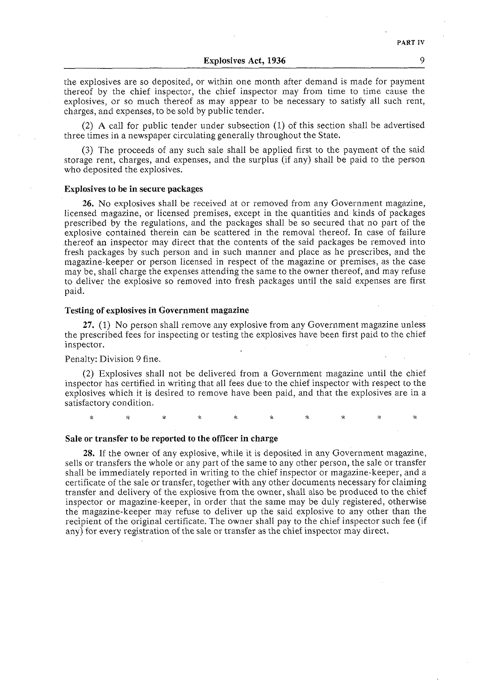**Explosives Act, 1936** 9

the explosives are so deposited, or within one month after demand is made for payment thereof by the chief inspector, the chief inspector may from time to time cause the explosives, or so much thereof as may appear to be necessary to satisfy all such rent, charges, and expenses, to be sold by public tender.

(2) A call for public tender under subsection (1) of this section shall be advertised three times in a newspaper circulating generally throughout the State.

(3) The proceeds of any such sale shall be applied first to the payment of the said storage rent, charges, and expenses, and the surplus (if any) shall be paid to the person who deposited the explosives.

#### **Explosives to be in secure packages**

**26.** No explosives shall be received at or removed from any Government magazine, licensed magazine, or licensed premises, except in the quantities and kinds of packages prescribed by the regulations, and the packages shall be so secured that no part of the explosive contained therein can be scattered in the removal thereof. In case of failure thereof an inspector may direct that the contents of the said packages be removed into fresh packages by such person and in such manner and place as he prescribes, and the magazine-keeper or person licensed in respect of the magazine or premises, as the case may be, shall charge the expenses attending the same to the owner thereof, and may refuse to deliver the explosive so removed into fresh packages until the said expenses are first paid.

## **Testing of explosives in Government magazine**

**27. (1)** No person shall remove any explosive from any Government magazine unless the prescribed fees for inspecting or testing the explosives have been first paid to the chief inspector.

#### Penalty: Division 9 fine.

(2) Explosives shall not be delivered from a Government magazine until the chief inspector has certified in writing that all fees due to the chief inspector with respect to the explosives which it is desired to remove have been paid, and that the explosives are in a satisfactory condition.

.<br>No

### **Sale or transfer to he reported to the officer in charge**

**28.** If the owner of any explosive, while it is deposited in any Government magazine, sells or transfers the whole or any part of the same to any other person, the sale or transfer shall be immediately reported in writing to the chief inspector or magazine-keeper, and a certificate of the sale or transfer, together with any other documents necessary for claiming transfer and delivery of the explosive from the owner, shall also be produced to the chief inspector or magazine-keeper, in order that the same may be duly registered, otherwise the magazine-keeper may refuse to deliver up the said explosive to any other than the recipient of the original certificate. The owner shall pay to the chief inspector such fee (if any) for every registration of the sale or transfer as the chief inspector may direct.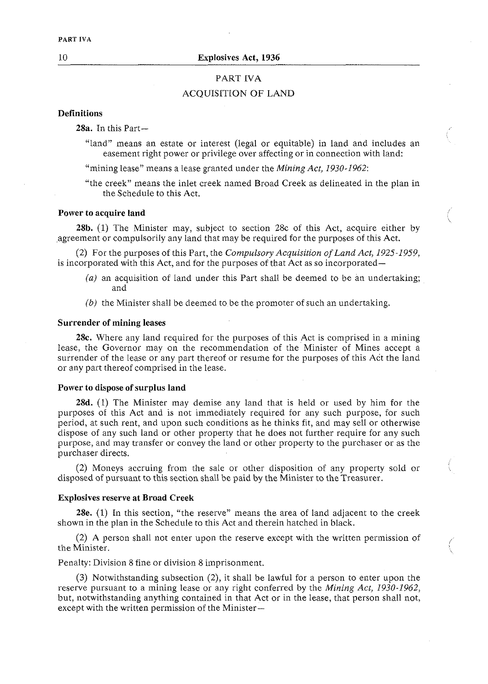# PART IVA

## ACQUISITION OF LAND

### **Definitions**

28a. In this Part-

"land" means an estate or interest (legal or equitable) in land and includes an easement right power or privilege over affecting or in connection with land:

"mining lease" means a lease granted under the *Mining Act,* 1930-1962:

"the creek" means the inlet creek named Broad Creek as delineated in the plan in the Schedule to this Act.

### **Power to acquire land**

**28b.** (1) The Minister may, subject to section 28c of this Act, acquire either by agreement or compulsorily any land that may be required for the purposes of this Act.

(2) For the purposes of this Part, the *Compulsory Acquisition of Land Act,* 1925-1959, is incorporated with this Act, and for the purposes of that Act as so incorporated-

- *(a)* an acquisition of land under this Part shall be deemed to be an undertaking; and
- *(b)* the Minister shall be deemed to be the promoter of such an undertaking.

### **Surrender of mining leases**

**28c.** Where any land required for the purposes of this Act is comprised in a mining lease, the Governor may on the recommendation of the Minister of Mines accept a surrender of the lease or any part thereof or resume for the purposes of this Act the land or any part thereof comprised in the lease.

#### **Power to dispose of surplus land**

**28d.** (1) The Minister may demise any land that is held or used by him for the purposes of this Act and is not immediately required for any such purpose, for such period, at such rent, and upon such conditions as he thinks fit, and may sell or otherwise dispose of any such land or other property that he does not further require for any such purpose, and may transfer or convey the land or other property to the purchaser or as the purchaser directs.

(2) Moneys accruing from the sale or other disposition of any property sold or disposed of pursuant to this section shall be paid by the Minister to the Treasurer.

#### **Explosives reserve at Broad Creek**

**28e. (1)** In this section, "the reserve" means the area of land adjacent to the creek shown in the plan in the Schedule to this Act and therein hatched in black.

(2) A person shall not enter upon the reserve except with the written permission of the Minister.

Penalty: Division 8 fine or division 8 imprisonment.

(3) Notwithstanding subsection (2), it shall be lawful for a person to enter upon the reserve pursuant to a mining lease or any right conferred by the *Mining Act,* 1930-1962, but, notwithstanding anything contained in that Act or in the lease, that person shall not, except with the written permission of the Minister-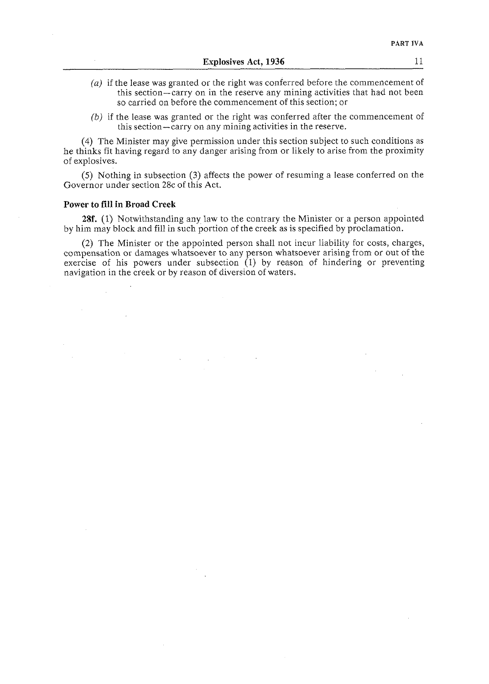- (a) if the lease was granted or the right was conferred before the commencement of this section-carry on in the reserve any mining activities that had not been so carried on before the commencement of this section; or
- *(b)* if the lease was granted or the right was conferred after the commencement of this section-carry on any mining activities in the reserve.

(4) The Minister may give permission under this section subject to such conditions as he thinks fit having regard to any danger arising from or likely to arise from the proximity of explosives.

(5) Nothing in subsection (3) affects the power of resuming a lease conferred on the Governor under section 28c of this Act.

# **Power to fill in Broad Creek**

**28f.** (1) Notwithstanding any law to the contrary the Minister or a person appointed by him may block and fill in such portion of the creek as is specified by proclamation.

(2) The Minister or the appointed person shall not incur liability for costs, charges, compensation or damages whatsoever to any person whatsoever arising from or out of the exercise of his powers under subsection (1) by reason of hindering or preventing navigation in the creek or by reason of diversion of waters.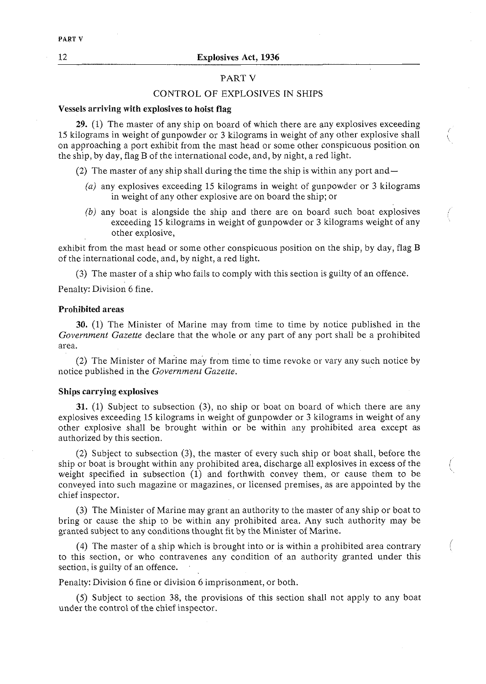# PART V

# CONTROL OF EXPLOSIVES IN SHIPS

## Vessels arriving with explosives to hoist flag

**29.** (1) The master of any ship on board of which there are any explosives exceeding 15 kilograms in weight of gunpowder or 3 kilograms in weight of any other explosive shall on approaching a port exhibit from the mast head or some other conspicuous position on the ship, by day, flag B of the international code, and, by night, a red light.

(2) The master of any ship shall during the time the ship is within any port and  $-$ 

- *(a)* any explosives exceeding 15 kilograms in weight of gunpowder or 3 kilograms in weight of any other explosive are on board the ship; or
- (b) any boat is alongside the ship and there are on board such boat explosives exceeding 15 kilograms in weight of gunpowder or **3** kilograms weight of any other explosive,

exhibit from the mast head or some other conspicuous position on the ship, by day, flag B of the international code, and, by night, a red light.

(3) The master of a ship who fails to comply with this section is guilty of an offence.

Penalty: Division 6 fine.

### Prohibited areas

**30.** (1) The Minister of Marine may from time to time by notice published in the *Government Gazette* declare that the whole or any part of any port shall be a prohibited area.

 $(2)$  The Minister of Marine may from time to time revoke or vary any such notice by notice published in the *Government Gazette.* 

### Ships carrying explosives

**31.** (1) Subject to subsection (3), no ship or boat on board of which there are any explosives exceeding 15 kilograms in weight of gunpowder or 3 kilograms in weight of any other explosive shall be brought within or be within any prohibited area except as authorized by this section.

(2) Subject to subsection (3), the master of every such ship or boat shall, before the ship or boat is brought within any prohibited area, discharge all explosives in excess of the weight specified in subsection (1) and forthwith convey them, or cause them to be conveyed into such magazine or magazines, or licensed premises, as are appointed by the chief inspector.

(3) The Minister of Marine may grant an authority to the master of any ship or boat to bring or cause the ship to be within any prohibited area. Any such authority may be granted subject to any conditions thought fit by the Minister of Marine.

(4) The master of a ship which is brought into or is within a prohibited area contrary to this section, or who contravenes any condition of an authority granted under this section, is guilty of an offence.

Penalty: Division 6 fine or division 6 imprisonment, or both.

(5) Subject to section 38, the provisions of this section shall not apply to any boat under the control of the chief inspector.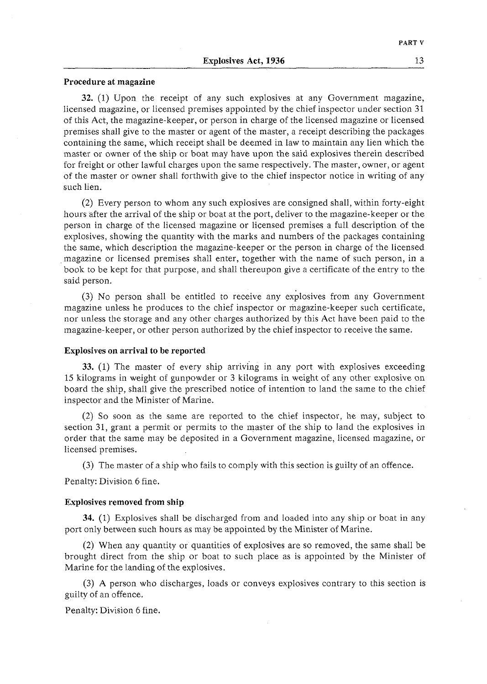### Procedure at magazine

**32.** (1) Upon the receipt of any such explosives at any Government magazine, licensed magazine, or licensed premises appointed by the chief inspector under section 31 of this Act, the magazine-keeper, or person in charge of the licensed magazine or licensed premises shall give to the master or agent of the master, a receipt describing the packages containing the same, which receipt shall be deemed in law to maintain any lien which the master or owner of the ship or boat may have upon the said explosives therein described for freight or other lawful charges upon the same respectively. The master, owner, or agent of the master or owner shall forthwith give to the chief inspector notice in writing of any such lien.

(2) Every person to whom any such explosives are consigned shall, within forty-eight hours after the arrival of the ship or boat at the port, deliver to the magazine-keeper or the person in charge of the licensed magazine or licensed premises a full description of the explosives, showing the quantity with the marks and numbers of the packages containing the same, which description the magazine-keeper or the person in charge of the licensed magazine or licensed premises shall enter, together with the name of such person, in a book to be kept for that purpose, and shall thereupon give a certificate of the entry to the said person.

(3) No person shall be entitled to receive any explosives from any Government magazine unless he produces to the chief inspector or magazine-keeper such certificate, nor unless the storage and any other charges authorized by this Act have been paid to the magazine-keeper, or other person authorized by the chief inspector to receive the same.

#### Explosives on arrival to be reported

**33.** (1) The master of every ship arriving in any port with explosives exceeding 15 kilograms in weight of gunpowder or 3 kilograms in weight of any other explosive on board the ship, shall give the prescribed notice of intention to land the same to the chief inspector and the Minister of Marine.

(2) So soon as the same are reported to the chief inspector, he may, subject to section 31, grant a permit or permits to the master of the ship to land the explosives in order that the same may be deposited in a Government magazine, licensed magazine, or licensed premises.

(3) The master of a ship who fails to comply with this section is guilty of an offence.

Penalty: Division 6 fine.

#### Explosives removed from ship

**34.** (1) Explosives shall be discharged from and loaded into any ship or hoat in any port only between such hours as may be appointed by the Minister of Marine.

(2) When any quantity or quantities of explosives are so removed, the same shall be brought direct from the ship or boat to such place as is appointed by the Minister of Marine for the landing of the explosives.

(3) A person who discharges, loads or conveys explosives contrary to this section is guilty of an offence.

Penalty: Division 6 fine.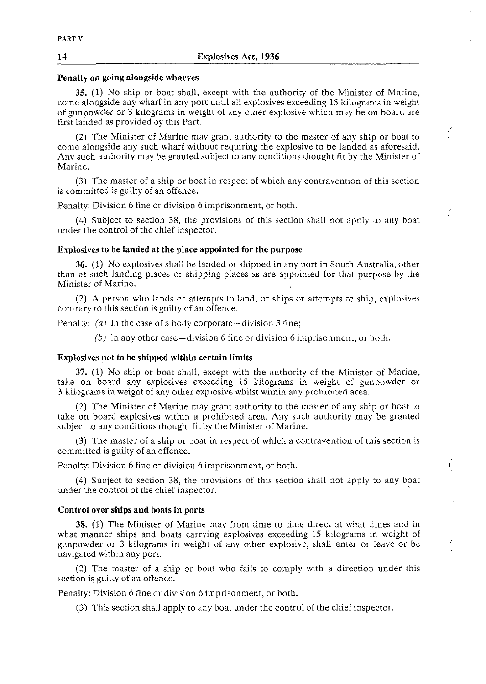#### **Penalty on going alongside wharves**

**35.** (1) No ship or boat shall, except with the authority of the Minister of Marine, come alongside any wharf in any port until all explosives exceeding 15 kilograms in weight of gunpowder or 3 kilograms in weight of any other explosive which may be on board are first landed as provided by this Part.

 $(2)$  The Minister of Marine may grant authority to the master of any ship or boat to come aloagside any such wharf without requiring the explosive to be landed as aforesaid. Any such authority may be granted subject to any conditions thought fit by the Minister of Marine.

(3) The master of a ship or boat in respect of which any contravention of this section is committed is guilty of an offence.

Penalty: Division 6 fine or division 6 imprisonment, or both.

(4) Subject to section 38, the provisions of this section shall not apply to any boat under the control of the chief inspector.

### **Explosives to be landed at the place appointed for the purpose**

**36.** (1) No explosives shall be landed or shipped in any port in South Australia, other than at such landing places or shipping places as are appointed for that purpose by the Minister of Marine.

(2) A person who lands or attempts to land, or ships or attempts to ship, explosives contrary to this section is guilty of an offence.

Penalty:  $(a)$  in the case of a body corporate—division 3 fine;

 $(b)$  in any other case—division 6 fine or division 6 imprisonment, or both.

### **Explosives not to be shipped within certain limits**

**37.** (1) No ship or boat shall, except with the authority of the Minister of Marine, take on board any explosives exceeding 15 kilograms in weight of gunpowder or 3 kilograms in weight of any other explosive whilst within any prohibited area.

(2) The Minister of Marine may grant authority to the master of any ship or boat to take on board explosives within a prohibited area. Any such authority may be granted subject to any conditions thought fit by the Minister of Marine.

(3) The master of a ship or boat in respect of which a contravention of this section is committed is guilty of an offence.

Penalty: Division 6 fine or division 6 imprisonment, or both.

(4) Subject to section 38, the provisions of this section shall not apply to any boat under the control of the chief inspector.

### **Control over ships and boats in ports**

**38. (3)** The Minister of Marine may from time to time direct at what times and in what manner ships and boats carrying explosives exceeding 15 kilograms in weight of gunpowder or 3 kilograms in weight of any other explosive, shall enter or leave or be navigated within any port.

(2) The master of a ship or boat who fails to comply with a direction under this section is guilty of an offence.

Penalty: Division 6 fine or division 6 imprisonment, or both.

**(3)** This section shall apply to any boat under the control of the chief inspector.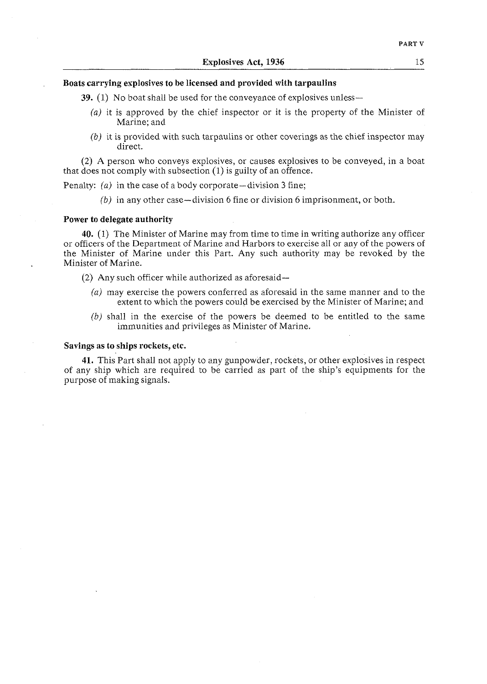### Boats carrying explosives to be licensed and provided with tarpaulins

**39.** (1) No boat shall be used for the conveyance of explosives unless—

- *(a)* it is approved by the chief inspector or it is the property of the Minister of Marine; and
- *(b)* it is provided with such tarpaulins or other coverings as the chief inspector may direct.

(2) A person who conveys explosives, or causes explosives to be conveyed, in a boat that does not comply with subsection (1) is guilty of an offence.

Penalty: (a) in the case of a body corporate-division **3** fine;

*(b)* in any other case-division 6 fine or division 6 imprisonment, or both.

#### Power to delegate authority

40. (1) The Minister of Marine may from time to time in writing authorize any officer or officers of the Department of Marine and Harbors to exercise all or any of the powers of the Minister of Marine under this Part. Any such authority may be revoked by the Minister of Marine.

- (2) Any such officer while authorized as aforesaid-
	- *(a)* may exercise the powers conferred as aforesaid in the same manner and to the extent to which the powers could be exercised by the Minister of Marine; and
	- *fb)* shall in the exercise of the powers be deemed to be entitled to the same immunities and privileges as Minister of Marine.

#### Savings as to ships rockets, etc.

**41.** This Part shall not apply to any gunpowder, rockets, or other explosives in respect of any ship which are required to be carried as part of the ship's equipments for the purpose of making signals.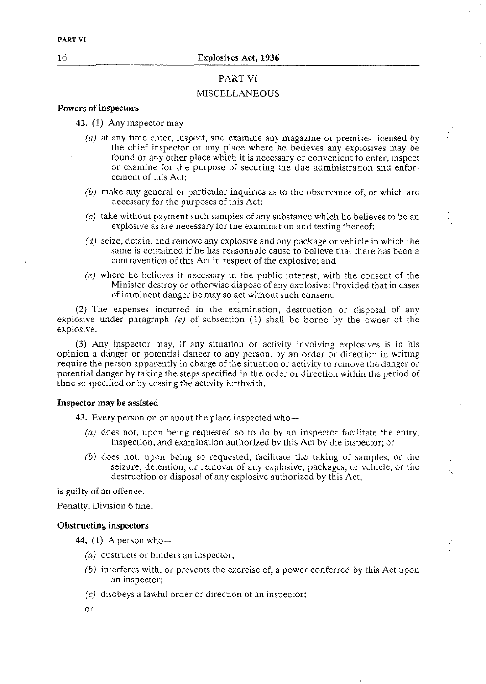### **16 Explosives Act, 1936**

# PART VI

### MISCELLANEOUS

### **Powers of inspectors**

- 42. (1) Any inspector may—
	- $(a)$  at any time enter, inspect, and examine any magazine or premises licensed by the chief inspector or any place where he believes any explosives may be found or any other place which it is necessary or convenient to enter, inspect or examine for the purpose of securing the due administration and enforcement of this Act:
	- *(b)* make any general or particular inquiries as to the observance of, or which are necessary for the purposes of this Act:
	- *(c)* take without payment such samples of any substance which he believes to be an ( explosive as are necessary for the examination and testing thereof:
	- (d) seize, detain, and remove any explosive and any package or vehicle in which the same is contained if he has reasonable cause to believe that there has been a contravention of this Act in respect of the explosive; and
	- *(e)* where he believes it necessary in the public interest, with the consent of the Minister destroy or otherwise dispose of any explosive: Provided that in cases of imminent danger he may so act without such consent.

(2) The expenses incurred in the examination, destruction or disposal of any explosive under paragraph *(e)* of subsection (1) shall be borne by the owner of the explosive.

**(3)** Any inspector may, if any situation or activity involving explosives is in his opinion a danger or potential danger to any person, by an order or direction in writing require the person apparently in charge of the situation or activity to remove the danger or potential danger by taking the steps specified in the order or direction within the period of time so specified or by ceasing the activity forthwith.

# **Inspector may be assisted**

**43.** Every person on or about the place inspected who-

- *(a)* does not, upon being requested so to do by an inspector facilitate the entry, inspection, and examination authorized by this Act by the inspector; or
- (b) does not, upon being so requested, facilitate the taking of samples, or the seizure, detention, or removal of any explosive, packages, or vehicle, or the destruction or disposal of any explosive authorized by this Act,

is guilty of an offence.

Penalty: Division 6 fine.

### **Obstructing inspectors**

**44.** (1) A person who-

- *(a)* obstructs or hinders an inspector;
- *(b)* interferes with, or prevents the exercise of, a power conferred by this Act upon an inspector;
- *(c)* disobeys a lawful order or direction of an inspector;

**or**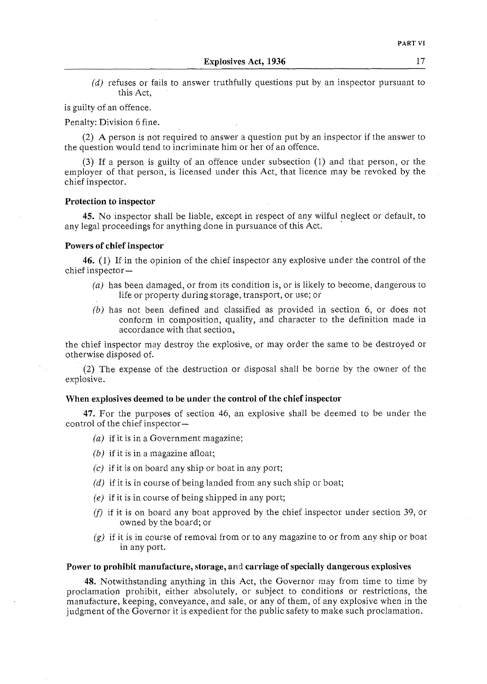*(d)* refuses or fails to answer truthfully questions put by an inspector pursuant to this Act,

is guilty of an offence.

Penalty: Division 6 fine.

(2) A person is not required to answer a question put by an inspector if the answer to the question would tend to incriminate him or her of an offence.

(3) If a person is guilty of an offence under subsection (1) and that person, or the employer of that person, is licensed under this Act, that licence may be revoked by the chief inspector.

### **Protection to inspector**

45. No inspector shall be liable, except in respect of any wilful neglect or default, to any legal proceedings for anything done in pursuance of this Act.

### **Powers of chief inspector**

**46.** (1) If in the opinion of the chief inspector any explosive under the control of the chief inspector-

- *(a)* has been damaged, or from its condition is, or is likely to become, dangerous to life or property during storage, transport, or use; or
- *(b)* has not been defined and classified as provided in section 6, or does not conform in composition, quality, and character to the definition made in accordance with that section,

the chief inspector may destroy the explosive, or may order the same to be destroyed or otherwise disposed of.

(2) The expense of the destruction or disposal shall be borne by the owner of the explosive.

#### **When explosives deemed to be under the control of the chief inspector**

**47.** For the purposes of section 46, an explosive shall be deemed to be under the control of the chief inspector-

- *(a)* if it is in a Government magazine;
- *(b)* if it is in a magazine afloat;
- (c) if it is on board any ship or boat in any port;
- *(d)* if it is in course of being landed from any such ship or boat;
- $(e)$  if it is in course of being shipped in any port;
- $(f)$  if it is on board any boat approved by the chief inspector under section 39, or owned by the board; or
- $(g)$  if it is in course of removal from or to any magazine to or from any ship or boat in any port.

### **Power to prohibit manufacture, storage, and carriage of specially dangerous explosives**

48. Notwithstanding anything in this Act, the Governor may from time to time by proclamation prohibit, either absolutely, or subject to conditions or restrictions, the manufacture, keeping, conveyance, and sale, or any of them, of any explosive when in the judgment of the Governor it is expedient for the public safety to make such proclamation.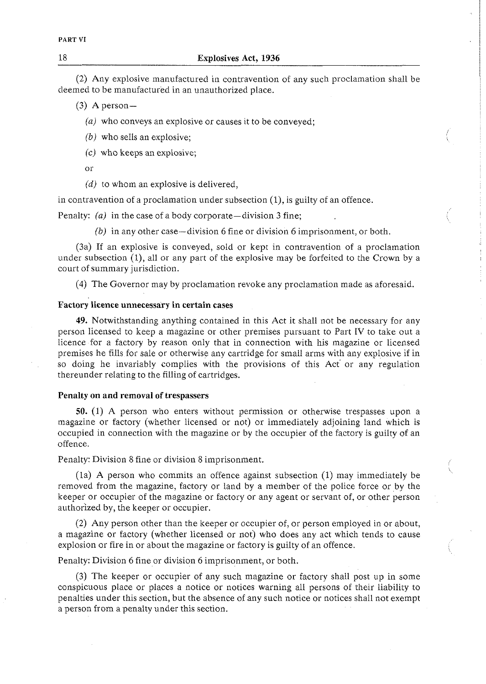(2) Any explosive manufactured in contravention of any such proclamation shall be deemed to be manufactured in an unauthorized place.

 $(3)$  A person-

(a) who conveys an explosive or causes it to be conveyed;

- *(b)* who sells an explosive;
- (c) who keeps an explosive;

or

 $(d)$  to whom an explosive is delivered,

in contravention of a proclamation under subsection (I), is guilty of an offence.

Penalty:  $(a)$  in the case of a body corporate—division 3 fine;

*(b)* in any other case—division 6 fine or division 6 imprisonment, or both.

(3a) If an explosive is conveyed, sold or kept in contravention of a proclamation under subsection (I), all or any part of the explosive may be forfeited to the Crown by a court of summary jurisdiction.

(4) The Governor may by proclamation revoke any proclamation made as aforesaid.

## **Factory licence unnecessary in certain cases**

49. Notwithstanding anything contained in this Act it shall not be necessary for any person licensed to keep a magazine or other premises pursuant to Part IV to take out a licence for a factory by reason only that in connection with his magazine or licensed premises he fills for sale or otherwise any cartridge for small arms with any explosive if in so doing he invariably complies with the provisions of this Act or any regulation thereunder relating to the filling of cartridges.

### **Penalty on and removal of trespassers**

**SO.** (1) A person who enters without permission or otherwise trespasses upon a magazine or factory (whether licensed or not) or immediately adjoining land which is occupied in connection with the magazine or by the occupier of the factory is guilty of an offence.

Penalty: Division 8 fine or division 8 imprisonment.

(la) A person who commits an offence against subsection (1) may immediately be removed from the magazine, factory or land by a member of the police force or by the keeper or occupier of the magazine or factory or any agent or servant of, or other person authorized by, the keeper or occupier.

 $\tilde{\lambda}$ 

(2) Any person other than the keeper or occupier of, or person employed in or about, a magazine or factory (whether licensed or not) who does any act which tends to cause explosion or fire in or about the magazine or factory is guilty of an offence.

Penalty: Division 6 fine or division 6 imprisonment, or both.

(3) The keeper or occupier of any such magazine or factory shall post up in some conspicuous place or places a notice or notices warning all persons of their liability to penalties under this section, but the absence of any such notice or notices shall not exempt a person from a penalty under this section.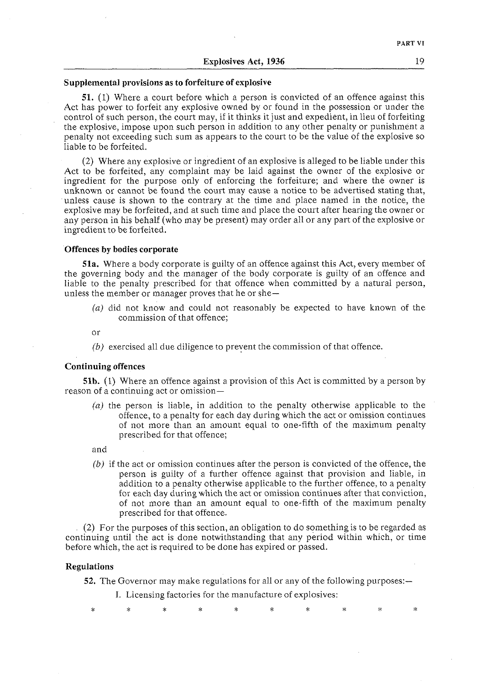### *Supplemental provisions as to forfeiture of explosive*

51. (1) Where a court before which a person is convicted of an offence against this Act has power to forfeit any explosive owned by or found in the possession or under the control of such person, the court may, if it thinks it just and expedient, in lieu of forfeiting the explosive, impose upon such person in addition to any other penalty or punishment a penalty not exceeding such sum as appears to the court to be the value of the explosive so liable to be forfeited.

(2) Where any explosive or ingredient of an explosive is alleged to be liable under this Act to be forfeited, any complaint may be laid against the owner of the explosive or ingredient for the purpose only of enforcing the forfeiture; and where the owner is unknown or cannot be found the court may cause a notice to be advertised stating that, unless cause is shown to the contrary at the time and place named in the notice, the explosive may be forfeited, and at such time and place the court after hearing the owner or any person in his behalf (who may be present) may order all or any part of the explosive or ingredient to be forfeited.

### *Offences by bodies corporate*

**51a.** Where a body corporate is guilty of an offence against this Act, every member of the governing body and the manager of the body corporate is guilty of an offence and liable to the penalty prescribed for that offence when committed by a natural person, unless the member or manager proves that he or she-

(a) did not know and could not reasonably be expected to have known of the commission of that offence:

or

*(b)* exercised all due diligence to prevent the commission of that offence.

### *Continuing offences*

**Slb. (1)** Where an offence against a provision of this Act is committed by a person by reason of a continuing act or omission-

(a) the person is liable, in addition to the penalty otherwise applicable to the offence, to a penalty for each day during which the act or omission continues of not more than an amount equal to one-fifth of the maximum penalty prescribed for that offence;

and

*(b)* if the act or omission continues after the person is convicted of the offence, the person is guilty of a further offence against that provision and liable, in addition to a penalty otherwise applicable to the further offence, to a penalty for each day during which the act or omission continues after that conviction, of not more than an amount equal to one-fifth of the maximum penalty prescribed for that offence.

(2) For the purposes of this section, an obligation to do something is to be regarded as continuing until the act is done notwithstanding that any period within which, or time before which, the act is required to be done has expired or passed.

### *Regulations*

**52.** The Governor may make regulations for all or any of the following purposes:-

I. Licensing factories for the manufacture of explosives: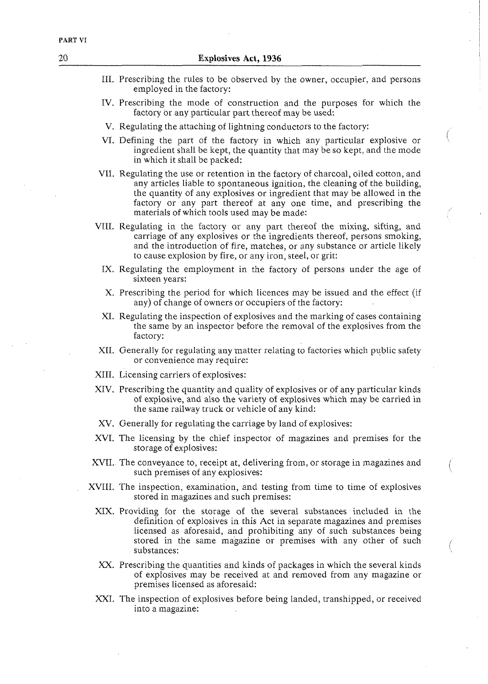- 111. Prescribing the rules to be observed by the owner, occupier, and persons employed in the factory:
- IV. Prescribing the mode of construction and the purposes for which the factory or any particular part thereof may be used:
- V. Regulating the attaching of lightning conductors to the factory:
- VI. Defining the part of the factory in which any particular explosive or ingredient shall be kept, the quantity that may be so kept, and the mode in which it shall be packed:
- VII. Regulating the use or retention in the factory of charcoal, oiled cotton, and any articles liable to spontaneous ignition, the cleaning of the building, the quantity of any explosives or ingredient that may be allowed in the factory or any part thereof at any one time, and prescribing the materials of which tools used may be made:
- VILI. Regulating in the factory or any part thexeof the mixing, sifting, and carriage of any explosives or the ingredients thereof, persons smoking, and the introduction of fire, matches, or any substance or article likely to cause explosion by fire, or any iron, steel, or grit:
	- IX. Regulating the employment in the factory of persons under the age of sixteen years:
	- X. Prescribing the period for which licences may be issued and the effect (if any) of change of owners or occupiers of the factory:
	- XI. Regulating the inspection of explosives and the marking of cases containing the same by an inspector before the removal of the explosives from the factory:
- XII. Generally for regulating any matter relating to factories which public safety or convenience may require:
- XIII. Licensing carriers of explosives:
- XIV. Prescribing the quantity and quality of explosives or of any particular kinds of explosive, and also the variety of explosives which may be carried in the same railway truck or vehicle of any kind:
- XV. Generally for regulating the carriage by land of explosives:
- XVI. The licensing by the chief inspector of magazines and premises for the storage of explosives:
- XVII. The conveyance to, receipt at, delivering from, or storage in magazines and such premises of any explosives:
- XVIII. The inspection, examination, and testing from time to time of explosives stored in magazines and such premises:
	- XIX. Providing for the storage of the several substances inciuded in the definition of explosives in this Act in separate magazines and premises licensed as aforesaid, and prohibiting any of such substances being stored in the same magazine or premises with any other of such Iicensed as aforesaid, and prohibiting any of such substances being<br>stored in the same magazine or premises with any other of such<br>substances:
	- XX. Prescribing the quantities and kinds of packages in which the several kinds of explosives may be received at and removed from any magazine or premises licensed as aforesaid:
	- XXI. The inspection of explosives before being landed, transhipped, or received into a magazine: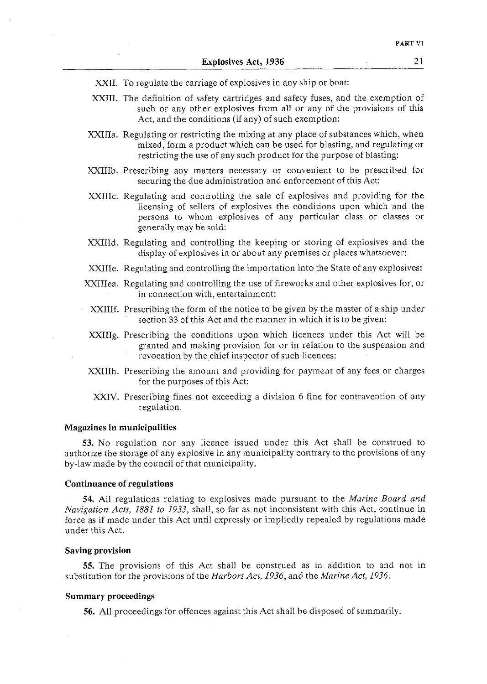- XXII. To regulate the carriage of explosives in any ship or boat:
- XXIII. The definition of safety cartridges and safety fuses, and the exemption of such or any other explosives from all or any of the provisions of this Act, and the conditions (if any) of such exemption:

XXIIIa. Regulating or restricting the mixing at any place of substances which, when mixed, form a product which can be used for blasting, and regulating or restricting the use of any such product for the purpose of blasting:

- XXIIIb. Prescribing any matters necessary or convenient to be prescribed for securing the due administration and enforcement of this Act:
- XXIIIc. Regulating and controlling the sale of explosives and providing for the licensing of sellers of explosives the conditions upon which and the persons to whom explosives of any particular class or classes or generally may be sold:

XXIIId. Regulating and controlling the keeping or storing of explosives and the display of explosives in or about any premises or places whatsoever:

- XXIIIe. Regulating and controlling the importation into the State of any explosives:
- XXIIIea. Regulating and controlling the use of fireworks and other explosives for, or in connection with, entertainment:
- XXIIIf. Prescribing the form of the notice to be given by the master of a ship under section 33 of this Act and the manner in which it is to be given:
- XXIIIg. Prescribing the conditions upon which licences under this Act will be granted and making provision for or in relation to the suspension and revocation by the chief inspector of such licences:
- XXIIIh. Prescribing the amount and providing for payment of any fees or charges for the purposes of this Act:
- XXIV. Prescribing fines not exceeding a division *6* fine for contravention of any regulation.

### **Magazines in municipalities**

**53.** No regulation nor any licence issued under this Act shall be construed to authorize the storage of any explosive in any municipality contrary to the provisions of any by-law made by the council of that municipality.

#### **Continuance of regulations**

54. All regulations relating to explosives made pursuant to the *Marine Board and Navigation Acts, 1881 to 1933,* shall, so far as not inconsistent with this Act, continue in force as if made under this Act until expressly or impliedly repealed by regulations made under this Act.

### **Saving provision**

55. The provisions of this Act shall be construed as in addition to and not in substitution for the provisions of the *Harbors Act, 1936,* and the *Marine Act, 1936.* 

### **Summary proceedings**

56. All proceedings for offences against this Act shall be disposed of summarily.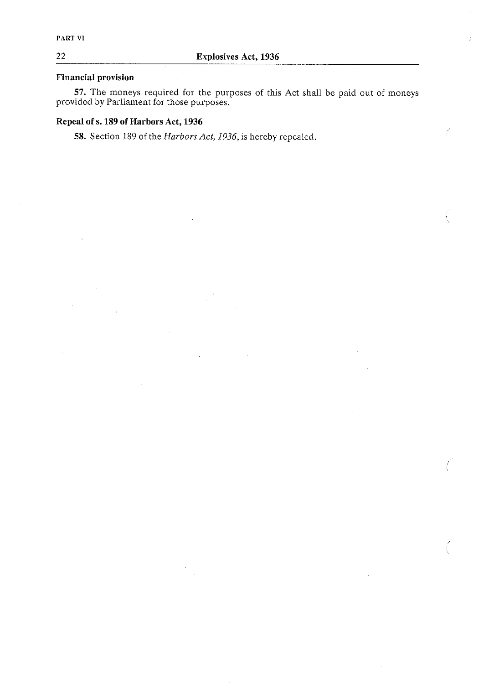# **Financial provision**

**57.** The moneys required for the purposes of this Act shall be paid out of moneys provided by Parliament for those purposes.

# **Repeal of s. 189 of Harbors Act, 1936**

**58.** Section 189 of the Harbors *Act,* 1936, is hereby repealed.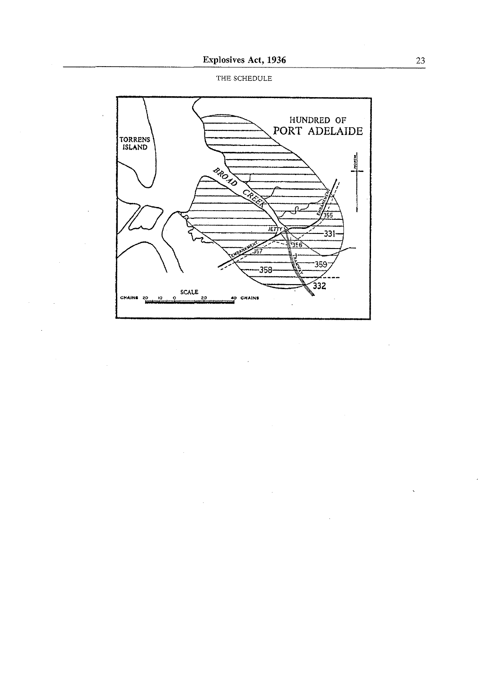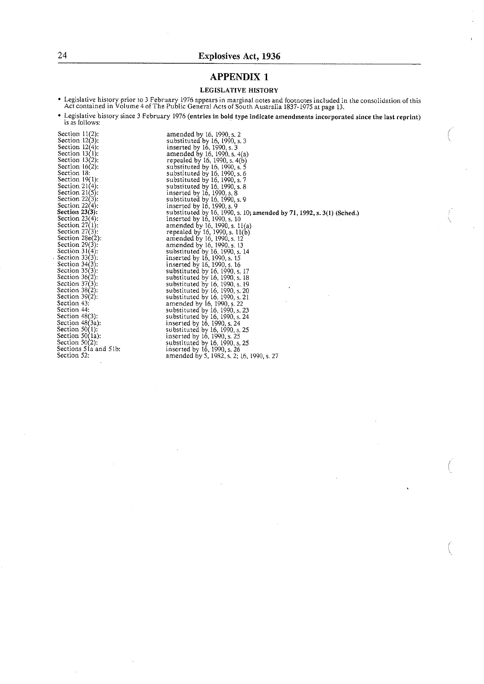# **APPENDIX 1**

### LEGISLATIVE HISTORY

- Legislative history prior to 3 February 1W6 appears in marginal notes and footnotes included in the consolidation of this Act contained in Volume 4 of The Public General Acts of South Australia 1837-1975 at page 13.
- Legislative history since 3 February 1976 (entries in bold type indicate amendments incorporated since the last reprint) is as follows:

| Section $11(2)$ :     | amended by 16, 1990, s. 2                                             |
|-----------------------|-----------------------------------------------------------------------|
| Section $12(3)$ :     | substituted by $16$ , $1990$ , s. 3                                   |
| Section $12(4)$ :     | inserted by 16, 1990, s. 3                                            |
| Section $13(1)$ :     | amended by 16, 1990, s. 4(a)                                          |
| Section $13(2)$ :     | repealed by 16, 1990, s. 4(b)                                         |
| Section $16(2)$ :     | substituted by $16, 1990, s. 5$                                       |
| Section 18:           | substituted by 16, 1990, s. 6                                         |
| Section $19(1)$ .     | substituted by 16, 1990, s.7                                          |
| Section 21(4):        | substituted by $16, 1990, s, 8$                                       |
| Section $21(5)$ :     | inserted by 16, 1990, s. 8                                            |
| Section $22(3)$ :     | substituted by $16, 1990, s, 9$                                       |
| Section 22(4):        | inserted by 16, 1990, s. 9                                            |
| Section 23(3):        | substituted by 16, 1990, s. 10; amended by 71, 1992, s. 3(1) (Sched.) |
| Section $23(4)$ :     | inserted by 16, 1990, s. 10                                           |
| Section 27(1):        | amended by $16, 1990, s. 11(a)$                                       |
| Section 27(3):        | repealed by $16, 1990, s. 11(b)$                                      |
| Section 28e(2):       | amended by 16, 1990, s. 12                                            |
| Section 29(3):        | amended by 16, 1990, s. 13                                            |
| Section 31(4):        | substituted by 16, 1990, s. 14                                        |
| Section 33(3):        | inserted by 16, 1990, s. 15                                           |
| Section 34(3):        | inserted by 16, 1990, s. 16                                           |
| Section 35(3):        | substituted by 16, 1990, s. 17                                        |
| Section 36(2):        | substituted by 16, 1990, s. 18                                        |
| Section 37(3).        | substituted by 16, 1990, s. 19                                        |
| Section 38(2):        | substituted by $16, 1990, s. 20$                                      |
| Section 39(2):        | substituted by 16, 1990, s. 21                                        |
| Section 43:           | amended by 16, 1990, s. 22                                            |
| Section 44:           | substituted by 16, 1990, s. 23                                        |
| Section 48(3):        | substituted by 16, 1990, s. 24                                        |
| Section 48(3a):       | inserted by 16, 1990, s. 24                                           |
| Section 50(1):        | substituted by 16, 1990, s. 25                                        |
| Section 50(1a):       | inserted by 16, 1990, s. 25                                           |
| Section 50(2):        | substituted by 16, 1990, s. 25                                        |
| Sections 51a and 51b: | inserted by 16, 1990, s. 26                                           |
| Section 52:           | amended by 5, 1982, s. 2; 16, 1990, s. 27                             |
|                       |                                                                       |